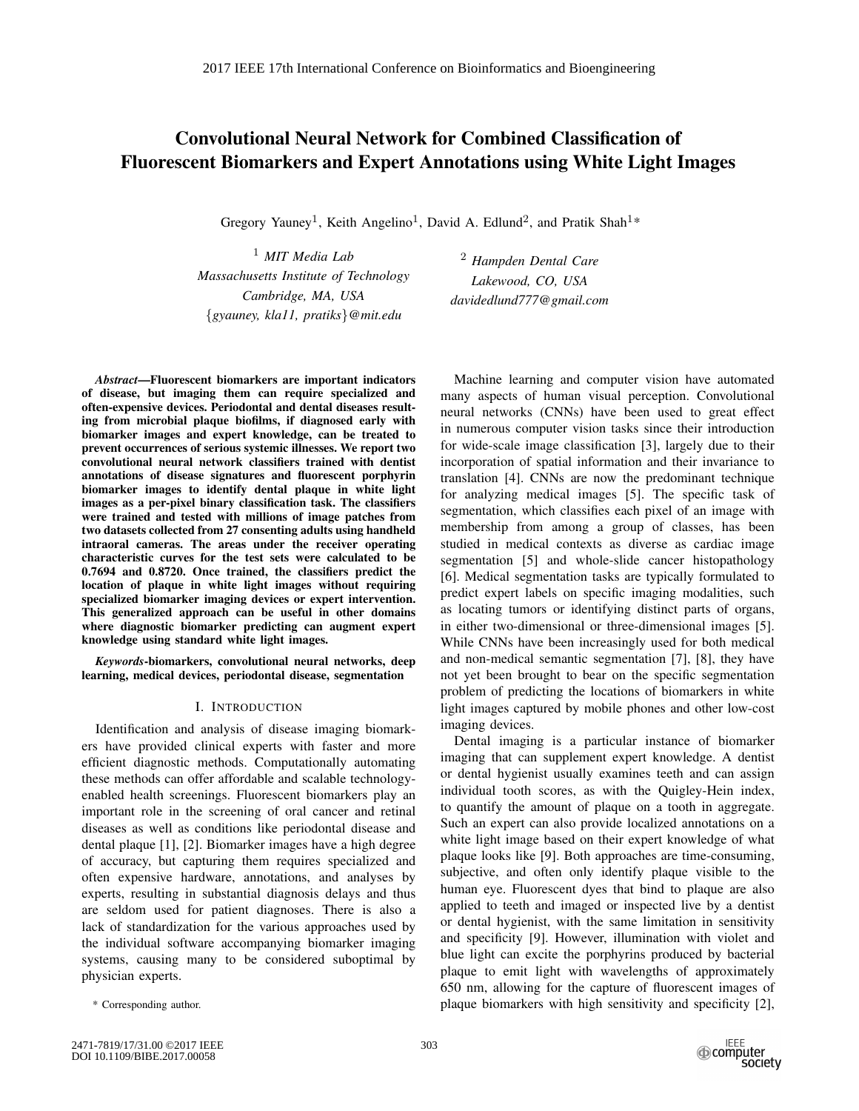# Convolutional Neural Network for Combined Classification of Fluorescent Biomarkers and Expert Annotations using White Light Images

Gregory Yauney<sup>1</sup>, Keith Angelino<sup>1</sup>, David A. Edlund<sup>2</sup>, and Pratik Shah<sup>1\*</sup>

<sup>1</sup> *MIT Media Lab Massachusetts Institute of Technology Cambridge, MA, USA* {*gyauney, kla11, pratiks*}*@mit.edu*

<sup>2</sup> *Hampden Dental Care Lakewood, CO, USA davidedlund777@gmail.com*

*Abstract*—Fluorescent biomarkers are important indicators of disease, but imaging them can require specialized and often-expensive devices. Periodontal and dental diseases resulting from microbial plaque biofilms, if diagnosed early with biomarker images and expert knowledge, can be treated to prevent occurrences of serious systemic illnesses. We report two convolutional neural network classifiers trained with dentist annotations of disease signatures and fluorescent porphyrin biomarker images to identify dental plaque in white light images as a per-pixel binary classification task. The classifiers were trained and tested with millions of image patches from two datasets collected from 27 consenting adults using handheld intraoral cameras. The areas under the receiver operating characteristic curves for the test sets were calculated to be 0.7694 and 0.8720. Once trained, the classifiers predict the location of plaque in white light images without requiring specialized biomarker imaging devices or expert intervention. This generalized approach can be useful in other domains where diagnostic biomarker predicting can augment expert knowledge using standard white light images.

*Keywords*-biomarkers, convolutional neural networks, deep learning, medical devices, periodontal disease, segmentation

## I. INTRODUCTION

Identification and analysis of disease imaging biomarkers have provided clinical experts with faster and more efficient diagnostic methods. Computationally automating these methods can offer affordable and scalable technologyenabled health screenings. Fluorescent biomarkers play an important role in the screening of oral cancer and retinal diseases as well as conditions like periodontal disease and dental plaque [1], [2]. Biomarker images have a high degree of accuracy, but capturing them requires specialized and often expensive hardware, annotations, and analyses by experts, resulting in substantial diagnosis delays and thus are seldom used for patient diagnoses. There is also a lack of standardization for the various approaches used by the individual software accompanying biomarker imaging systems, causing many to be considered suboptimal by physician experts.

\* Corresponding author.

Machine learning and computer vision have automated many aspects of human visual perception. Convolutional neural networks (CNNs) have been used to great effect in numerous computer vision tasks since their introduction for wide-scale image classification [3], largely due to their incorporation of spatial information and their invariance to translation [4]. CNNs are now the predominant technique for analyzing medical images [5]. The specific task of segmentation, which classifies each pixel of an image with membership from among a group of classes, has been studied in medical contexts as diverse as cardiac image segmentation [5] and whole-slide cancer histopathology [6]. Medical segmentation tasks are typically formulated to predict expert labels on specific imaging modalities, such as locating tumors or identifying distinct parts of organs, in either two-dimensional or three-dimensional images [5]. While CNNs have been increasingly used for both medical and non-medical semantic segmentation [7], [8], they have not yet been brought to bear on the specific segmentation problem of predicting the locations of biomarkers in white light images captured by mobile phones and other low-cost imaging devices.

Dental imaging is a particular instance of biomarker imaging that can supplement expert knowledge. A dentist or dental hygienist usually examines teeth and can assign individual tooth scores, as with the Quigley-Hein index, to quantify the amount of plaque on a tooth in aggregate. Such an expert can also provide localized annotations on a white light image based on their expert knowledge of what plaque looks like [9]. Both approaches are time-consuming, subjective, and often only identify plaque visible to the human eye. Fluorescent dyes that bind to plaque are also applied to teeth and imaged or inspected live by a dentist or dental hygienist, with the same limitation in sensitivity and specificity [9]. However, illumination with violet and blue light can excite the porphyrins produced by bacterial plaque to emit light with wavelengths of approximately 650 nm, allowing for the capture of fluorescent images of plaque biomarkers with high sensitivity and specificity [2],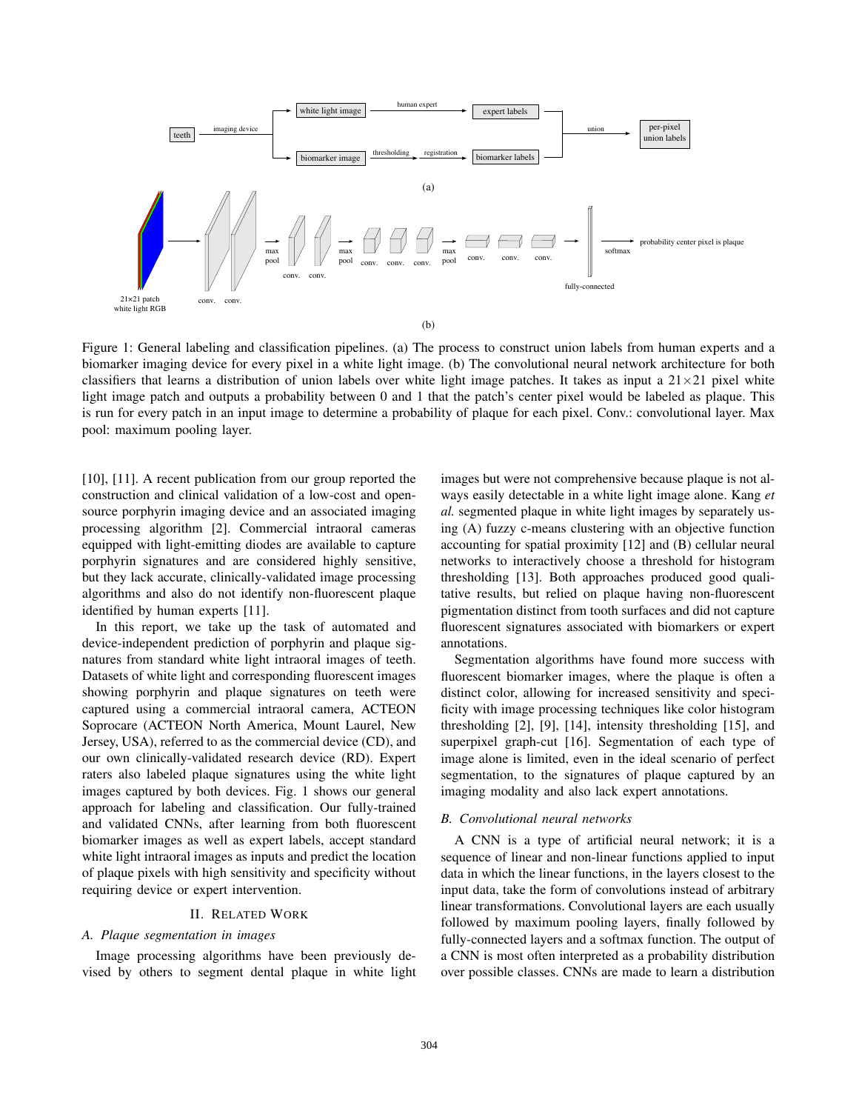

Figure 1: General labeling and classification pipelines. (a) The process to construct union labels from human experts and a biomarker imaging device for every pixel in a white light image. (b) The convolutional neural network architecture for both classifiers that learns a distribution of union labels over white light image patches. It takes as input a  $21\times21$  pixel white light image patch and outputs a probability between 0 and 1 that the patch's center pixel would be labeled as plaque. This is run for every patch in an input image to determine a probability of plaque for each pixel. Conv.: convolutional layer. Max pool: maximum pooling layer.

[10], [11]. A recent publication from our group reported the construction and clinical validation of a low-cost and opensource porphyrin imaging device and an associated imaging processing algorithm [2]. Commercial intraoral cameras equipped with light-emitting diodes are available to capture porphyrin signatures and are considered highly sensitive, but they lack accurate, clinically-validated image processing algorithms and also do not identify non-fluorescent plaque identified by human experts [11].

In this report, we take up the task of automated and device-independent prediction of porphyrin and plaque signatures from standard white light intraoral images of teeth. Datasets of white light and corresponding fluorescent images showing porphyrin and plaque signatures on teeth were captured using a commercial intraoral camera, ACTEON Soprocare (ACTEON North America, Mount Laurel, New Jersey, USA), referred to as the commercial device (CD), and our own clinically-validated research device (RD). Expert raters also labeled plaque signatures using the white light images captured by both devices. Fig. 1 shows our general approach for labeling and classification. Our fully-trained and validated CNNs, after learning from both fluorescent biomarker images as well as expert labels, accept standard white light intraoral images as inputs and predict the location of plaque pixels with high sensitivity and specificity without requiring device or expert intervention.

## II. RELATED WORK

# *A. Plaque segmentation in images*

Image processing algorithms have been previously devised by others to segment dental plaque in white light images but were not comprehensive because plaque is not always easily detectable in a white light image alone. Kang *et al.* segmented plaque in white light images by separately using (A) fuzzy c-means clustering with an objective function accounting for spatial proximity [12] and (B) cellular neural networks to interactively choose a threshold for histogram thresholding [13]. Both approaches produced good qualitative results, but relied on plaque having non-fluorescent pigmentation distinct from tooth surfaces and did not capture fluorescent signatures associated with biomarkers or expert annotations.

Segmentation algorithms have found more success with fluorescent biomarker images, where the plaque is often a distinct color, allowing for increased sensitivity and specificity with image processing techniques like color histogram thresholding [2], [9], [14], intensity thresholding [15], and superpixel graph-cut [16]. Segmentation of each type of image alone is limited, even in the ideal scenario of perfect segmentation, to the signatures of plaque captured by an imaging modality and also lack expert annotations.

# *B. Convolutional neural networks*

A CNN is a type of artificial neural network; it is a sequence of linear and non-linear functions applied to input data in which the linear functions, in the layers closest to the input data, take the form of convolutions instead of arbitrary linear transformations. Convolutional layers are each usually followed by maximum pooling layers, finally followed by fully-connected layers and a softmax function. The output of a CNN is most often interpreted as a probability distribution over possible classes. CNNs are made to learn a distribution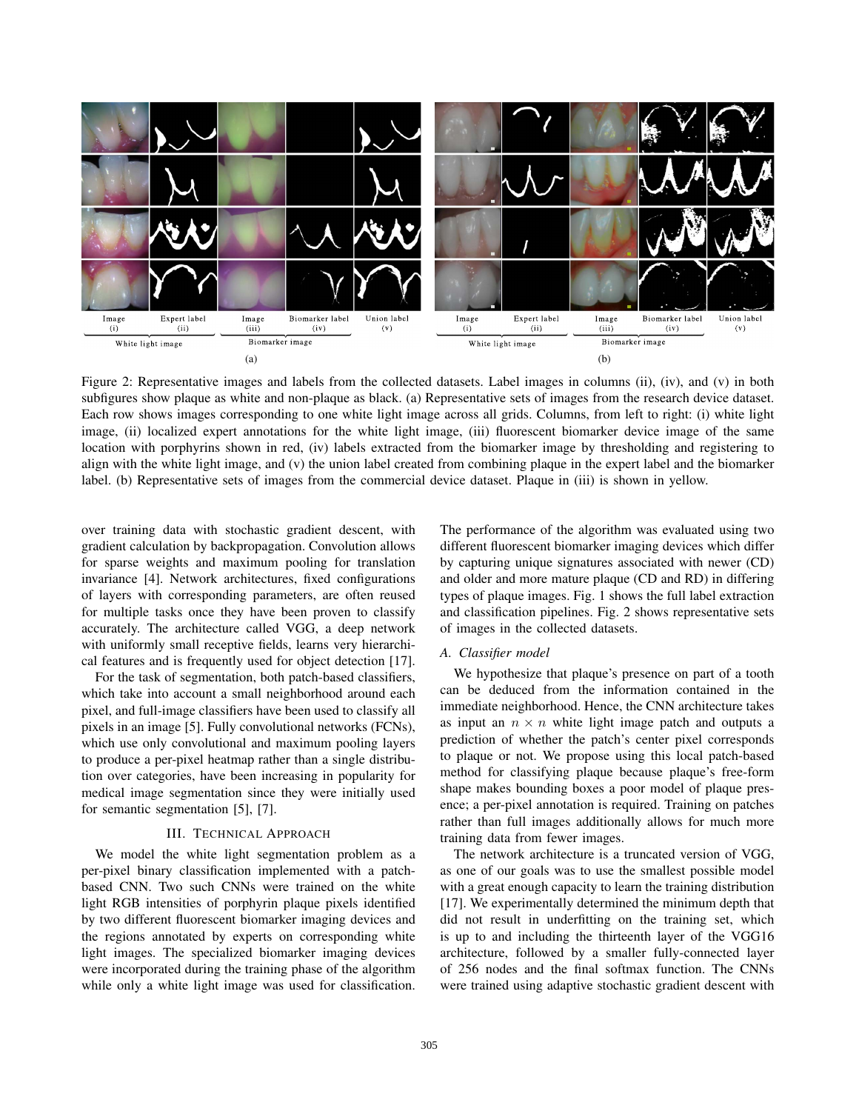

Figure 2: Representative images and labels from the collected datasets. Label images in columns (ii), (iv), and (v) in both subfigures show plaque as white and non-plaque as black. (a) Representative sets of images from the research device dataset. Each row shows images corresponding to one white light image across all grids. Columns, from left to right: (i) white light image, (ii) localized expert annotations for the white light image, (iii) fluorescent biomarker device image of the same location with porphyrins shown in red, (iv) labels extracted from the biomarker image by thresholding and registering to align with the white light image, and (v) the union label created from combining plaque in the expert label and the biomarker label. (b) Representative sets of images from the commercial device dataset. Plaque in (iii) is shown in yellow.

over training data with stochastic gradient descent, with gradient calculation by backpropagation. Convolution allows for sparse weights and maximum pooling for translation invariance [4]. Network architectures, fixed configurations of layers with corresponding parameters, are often reused for multiple tasks once they have been proven to classify accurately. The architecture called VGG, a deep network with uniformly small receptive fields, learns very hierarchical features and is frequently used for object detection [17].

For the task of segmentation, both patch-based classifiers, which take into account a small neighborhood around each pixel, and full-image classifiers have been used to classify all pixels in an image [5]. Fully convolutional networks (FCNs), which use only convolutional and maximum pooling layers to produce a per-pixel heatmap rather than a single distribution over categories, have been increasing in popularity for medical image segmentation since they were initially used for semantic segmentation [5], [7].

# III. TECHNICAL APPROACH

We model the white light segmentation problem as a per-pixel binary classification implemented with a patchbased CNN. Two such CNNs were trained on the white light RGB intensities of porphyrin plaque pixels identified by two different fluorescent biomarker imaging devices and the regions annotated by experts on corresponding white light images. The specialized biomarker imaging devices were incorporated during the training phase of the algorithm while only a white light image was used for classification. The performance of the algorithm was evaluated using two different fluorescent biomarker imaging devices which differ by capturing unique signatures associated with newer (CD) and older and more mature plaque (CD and RD) in differing types of plaque images. Fig. 1 shows the full label extraction and classification pipelines. Fig. 2 shows representative sets of images in the collected datasets.

#### *A. Classifier model*

We hypothesize that plaque's presence on part of a tooth can be deduced from the information contained in the immediate neighborhood. Hence, the CNN architecture takes as input an  $n \times n$  white light image patch and outputs a prediction of whether the patch's center pixel corresponds to plaque or not. We propose using this local patch-based method for classifying plaque because plaque's free-form shape makes bounding boxes a poor model of plaque presence; a per-pixel annotation is required. Training on patches rather than full images additionally allows for much more training data from fewer images.

The network architecture is a truncated version of VGG, as one of our goals was to use the smallest possible model with a great enough capacity to learn the training distribution [17]. We experimentally determined the minimum depth that did not result in underfitting on the training set, which is up to and including the thirteenth layer of the VGG16 architecture, followed by a smaller fully-connected layer of 256 nodes and the final softmax function. The CNNs were trained using adaptive stochastic gradient descent with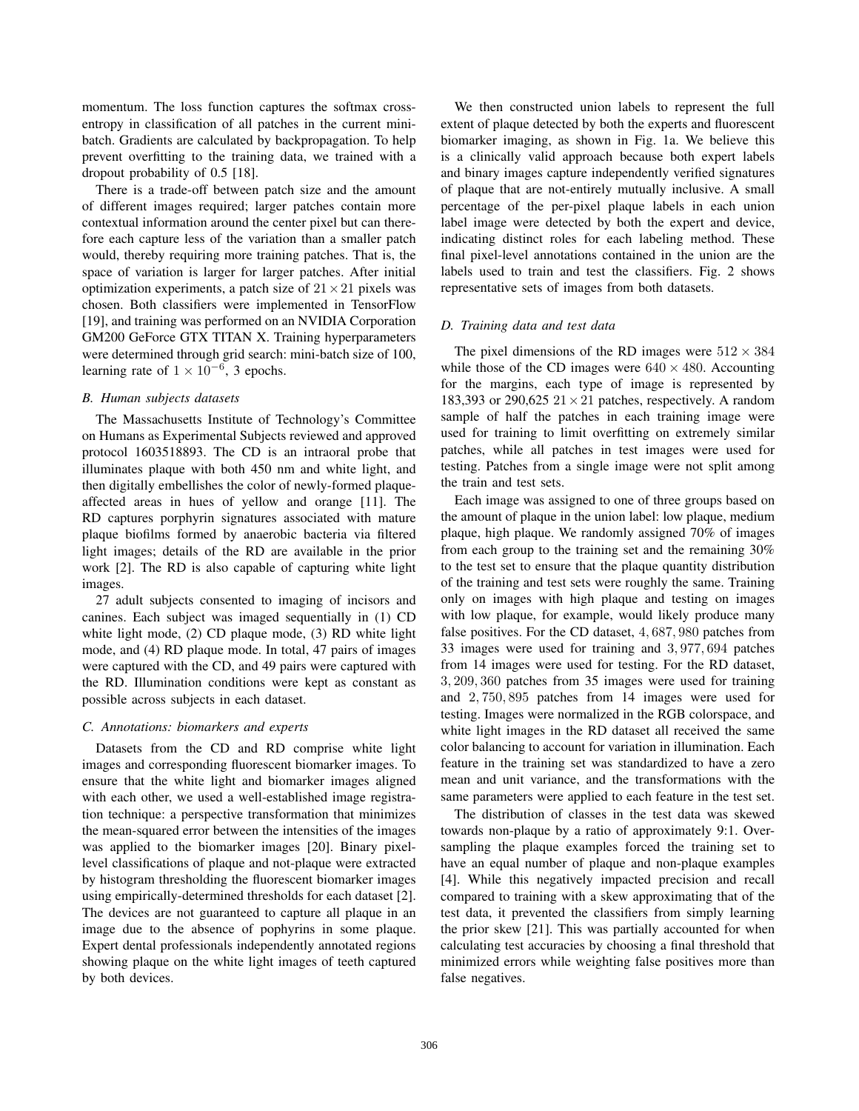momentum. The loss function captures the softmax crossentropy in classification of all patches in the current minibatch. Gradients are calculated by backpropagation. To help prevent overfitting to the training data, we trained with a dropout probability of 0.5 [18].

There is a trade-off between patch size and the amount of different images required; larger patches contain more contextual information around the center pixel but can therefore each capture less of the variation than a smaller patch would, thereby requiring more training patches. That is, the space of variation is larger for larger patches. After initial optimization experiments, a patch size of  $21 \times 21$  pixels was chosen. Both classifiers were implemented in TensorFlow [19], and training was performed on an NVIDIA Corporation GM200 GeForce GTX TITAN X. Training hyperparameters were determined through grid search: mini-batch size of 100, learning rate of  $1 \times 10^{-6}$ , 3 epochs.

#### *B. Human subjects datasets*

The Massachusetts Institute of Technology's Committee on Humans as Experimental Subjects reviewed and approved protocol 1603518893. The CD is an intraoral probe that illuminates plaque with both 450 nm and white light, and then digitally embellishes the color of newly-formed plaqueaffected areas in hues of yellow and orange [11]. The RD captures porphyrin signatures associated with mature plaque biofilms formed by anaerobic bacteria via filtered light images; details of the RD are available in the prior work [2]. The RD is also capable of capturing white light images.

27 adult subjects consented to imaging of incisors and canines. Each subject was imaged sequentially in (1) CD white light mode, (2) CD plaque mode, (3) RD white light mode, and (4) RD plaque mode. In total, 47 pairs of images were captured with the CD, and 49 pairs were captured with the RD. Illumination conditions were kept as constant as possible across subjects in each dataset.

# *C. Annotations: biomarkers and experts*

Datasets from the CD and RD comprise white light images and corresponding fluorescent biomarker images. To ensure that the white light and biomarker images aligned with each other, we used a well-established image registration technique: a perspective transformation that minimizes the mean-squared error between the intensities of the images was applied to the biomarker images [20]. Binary pixellevel classifications of plaque and not-plaque were extracted by histogram thresholding the fluorescent biomarker images using empirically-determined thresholds for each dataset [2]. The devices are not guaranteed to capture all plaque in an image due to the absence of pophyrins in some plaque. Expert dental professionals independently annotated regions showing plaque on the white light images of teeth captured by both devices.

We then constructed union labels to represent the full extent of plaque detected by both the experts and fluorescent biomarker imaging, as shown in Fig. 1a. We believe this is a clinically valid approach because both expert labels and binary images capture independently verified signatures of plaque that are not-entirely mutually inclusive. A small percentage of the per-pixel plaque labels in each union label image were detected by both the expert and device, indicating distinct roles for each labeling method. These final pixel-level annotations contained in the union are the labels used to train and test the classifiers. Fig. 2 shows representative sets of images from both datasets.

## *D. Training data and test data*

The pixel dimensions of the RD images were  $512 \times 384$ while those of the CD images were  $640 \times 480$ . Accounting for the margins, each type of image is represented by 183,393 or 290,625  $21 \times 21$  patches, respectively. A random sample of half the patches in each training image were used for training to limit overfitting on extremely similar patches, while all patches in test images were used for testing. Patches from a single image were not split among the train and test sets.

Each image was assigned to one of three groups based on the amount of plaque in the union label: low plaque, medium plaque, high plaque. We randomly assigned 70% of images from each group to the training set and the remaining 30% to the test set to ensure that the plaque quantity distribution of the training and test sets were roughly the same. Training only on images with high plaque and testing on images with low plaque, for example, would likely produce many false positives. For the CD dataset, 4, 687, 980 patches from 33 images were used for training and 3, 977, 694 patches from 14 images were used for testing. For the RD dataset, 3, 209, 360 patches from 35 images were used for training and 2, 750, 895 patches from 14 images were used for testing. Images were normalized in the RGB colorspace, and white light images in the RD dataset all received the same color balancing to account for variation in illumination. Each feature in the training set was standardized to have a zero mean and unit variance, and the transformations with the same parameters were applied to each feature in the test set.

The distribution of classes in the test data was skewed towards non-plaque by a ratio of approximately 9:1. Oversampling the plaque examples forced the training set to have an equal number of plaque and non-plaque examples [4]. While this negatively impacted precision and recall compared to training with a skew approximating that of the test data, it prevented the classifiers from simply learning the prior skew [21]. This was partially accounted for when calculating test accuracies by choosing a final threshold that minimized errors while weighting false positives more than false negatives.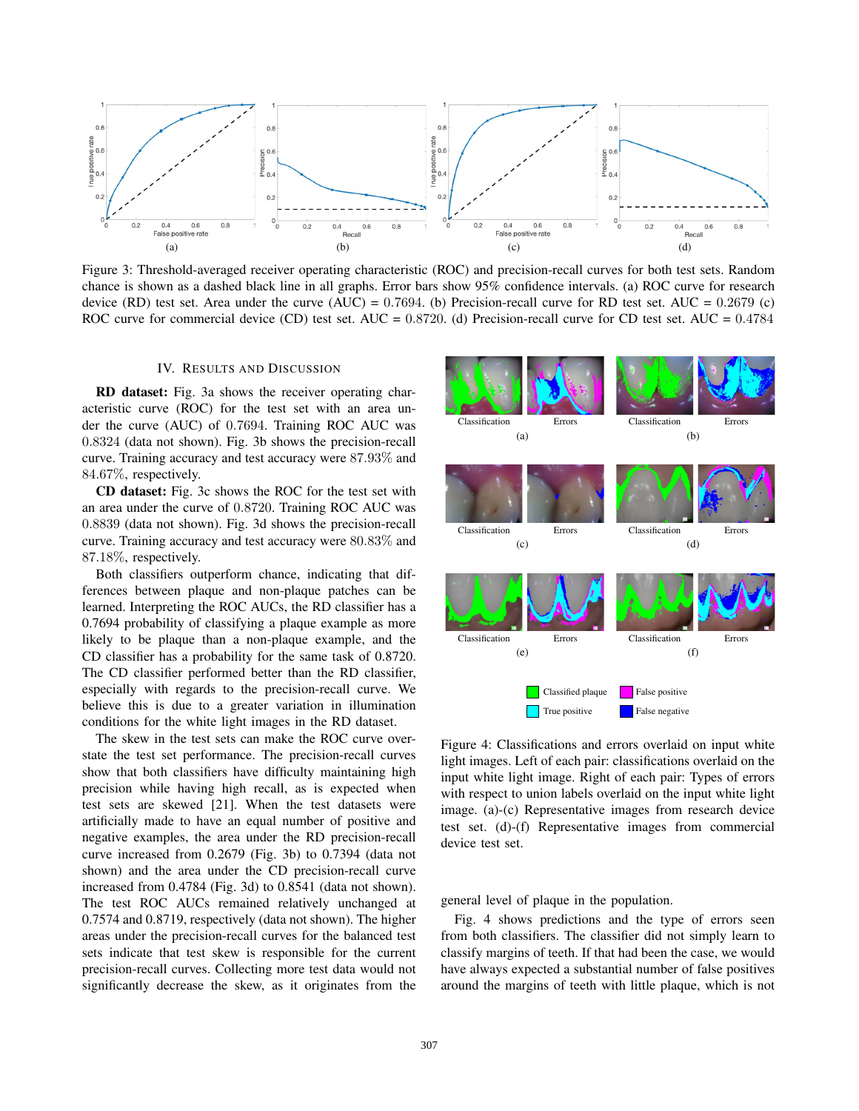

Figure 3: Threshold-averaged receiver operating characteristic (ROC) and precision-recall curves for both test sets. Random chance is shown as a dashed black line in all graphs. Error bars show 95% confidence intervals. (a) ROC curve for research device (RD) test set. Area under the curve (AUC) =  $0.7694$ . (b) Precision-recall curve for RD test set. AUC =  $0.2679$  (c) ROC curve for commercial device (CD) test set. AUC = 0.8720. (d) Precision-recall curve for CD test set. AUC = 0.4784

# IV. RESULTS AND DISCUSSION

RD dataset: Fig. 3a shows the receiver operating characteristic curve (ROC) for the test set with an area under the curve (AUC) of 0.7694. Training ROC AUC was 0.8324 (data not shown). Fig. 3b shows the precision-recall curve. Training accuracy and test accuracy were 87.93% and 84.67%, respectively.

CD dataset: Fig. 3c shows the ROC for the test set with an area under the curve of 0.8720. Training ROC AUC was 0.8839 (data not shown). Fig. 3d shows the precision-recall curve. Training accuracy and test accuracy were 80.83% and 87.18%, respectively.

Both classifiers outperform chance, indicating that differences between plaque and non-plaque patches can be learned. Interpreting the ROC AUCs, the RD classifier has a 0.7694 probability of classifying a plaque example as more likely to be plaque than a non-plaque example, and the CD classifier has a probability for the same task of 0.8720. The CD classifier performed better than the RD classifier, especially with regards to the precision-recall curve. We believe this is due to a greater variation in illumination conditions for the white light images in the RD dataset.

The skew in the test sets can make the ROC curve overstate the test set performance. The precision-recall curves show that both classifiers have difficulty maintaining high precision while having high recall, as is expected when test sets are skewed [21]. When the test datasets were artificially made to have an equal number of positive and negative examples, the area under the RD precision-recall curve increased from 0.2679 (Fig. 3b) to 0.7394 (data not shown) and the area under the CD precision-recall curve increased from 0.4784 (Fig. 3d) to 0.8541 (data not shown). The test ROC AUCs remained relatively unchanged at 0.7574 and 0.8719, respectively (data not shown). The higher areas under the precision-recall curves for the balanced test sets indicate that test skew is responsible for the current precision-recall curves. Collecting more test data would not significantly decrease the skew, as it originates from the



Figure 4: Classifications and errors overlaid on input white light images. Left of each pair: classifications overlaid on the input white light image. Right of each pair: Types of errors with respect to union labels overlaid on the input white light image. (a)-(c) Representative images from research device test set. (d)-(f) Representative images from commercial device test set.

general level of plaque in the population.

Fig. 4 shows predictions and the type of errors seen from both classifiers. The classifier did not simply learn to classify margins of teeth. If that had been the case, we would have always expected a substantial number of false positives around the margins of teeth with little plaque, which is not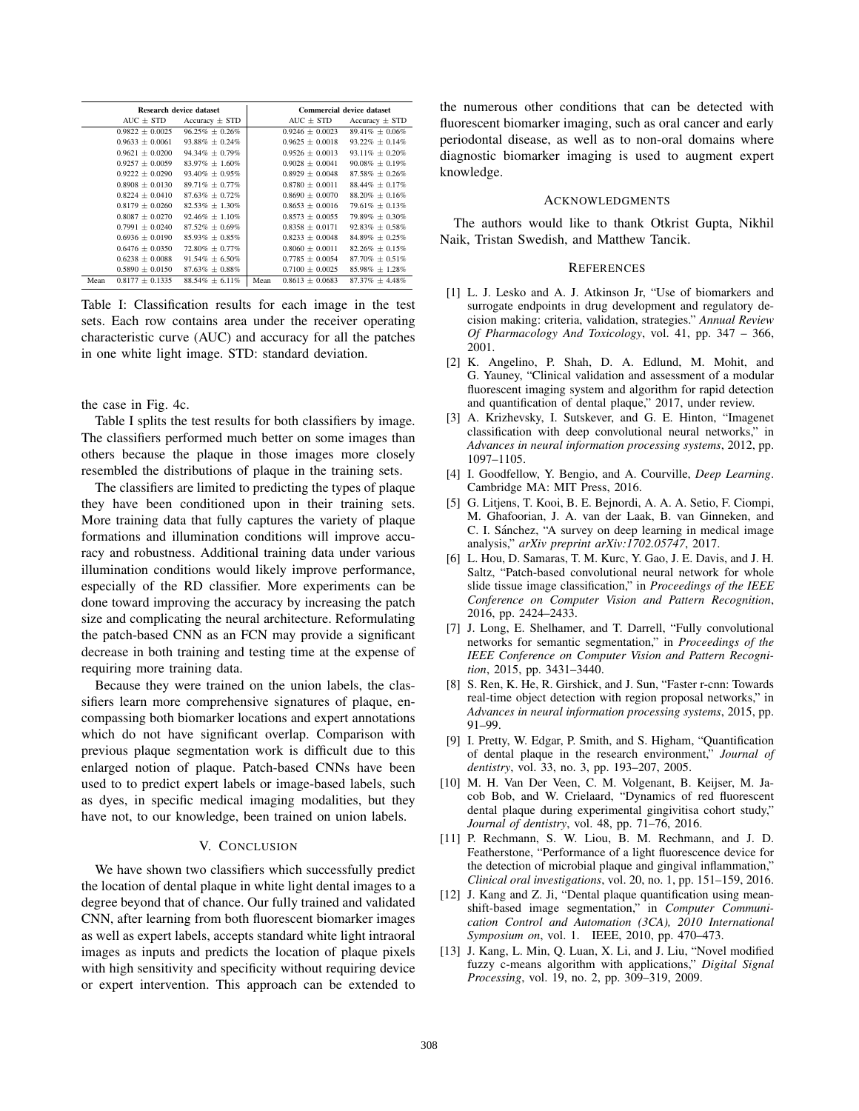|      | Research device dataset |                      |      | Commercial device dataset |                      |  |
|------|-------------------------|----------------------|------|---------------------------|----------------------|--|
|      | $AUC \pm STD$           | Accuracy $\pm$ STD   |      | $AUC \pm STD$             | Accuracy $\pm$ STD   |  |
|      | $0.9822 \pm 0.0025$     | $96.25\% \pm 0.26\%$ |      | $0.9246 \pm 0.0023$       | $89.41\% \pm 0.06\%$ |  |
|      | $0.9633 + 0.0061$       | $93.88\% \pm 0.24\%$ |      | $0.9625 + 0.0018$         | $93.22\% + 0.14\%$   |  |
|      | $0.9621 + 0.0200$       | $94.34\% \pm 0.79\%$ |      | $0.9526 + 0.0013$         | $93.11\% \pm 0.20\%$ |  |
|      | $0.9257 \pm 0.0059$     | $83.97\% \pm 1.60\%$ |      | $0.9028 \pm 0.0041$       | $90.08\% \pm 0.19\%$ |  |
|      | $0.9222 \pm 0.0290$     | $93.40\% \pm 0.95\%$ |      | $0.8929 \pm 0.0048$       | $87.58\% \pm 0.26\%$ |  |
|      | $0.8908 + 0.0130$       | $89.71\% + 0.77\%$   |      | $0.8780 + 0.0011$         | $88.44\% + 0.17\%$   |  |
|      | $0.8224 + 0.0410$       | $87.63\% + 0.72\%$   |      | $0.8690 + 0.0070$         | $88.20\% + 0.16\%$   |  |
|      | $0.8179 \pm 0.0260$     | $82.53\% \pm 1.30\%$ |      | $0.8653 \pm 0.0016$       | $79.61\% \pm 0.13\%$ |  |
|      | $0.8087 + 0.0270$       | $92.46\% + 1.10\%$   |      | $0.8573 + 0.0055$         | $79.89\% \pm 0.30\%$ |  |
|      | $0.7991 \pm 0.0240$     | $87.52\% \pm 0.69\%$ |      | $0.8358 \pm 0.0171$       | $92.83\% \pm 0.58\%$ |  |
|      | $0.6936 + 0.0190$       | $85.93\% + 0.85\%$   |      | $0.8233 + 0.0048$         | $84.89\% + 0.25\%$   |  |
|      | $0.6476 + 0.0350$       | $72.80\% + 0.77\%$   |      | $0.8060 + 0.0011$         | $82.26\% + 0.15\%$   |  |
|      | $0.6238 \pm 0.0088$     | $91.54\% + 6.50\%$   |      | $0.7785 + 0.0054$         | $87.70\% \pm 0.51\%$ |  |
|      | $0.5890 \pm 0.0150$     | $87.63\% \pm 0.88\%$ |      | $0.7100 \pm 0.0025$       | $85.98\% \pm 1.28\%$ |  |
| Mean | $0.8177 + 0.1335$       | $88.54\% \pm 6.11\%$ | Mean | $0.8613 + 0.0683$         | $87.37\% + 4.48\%$   |  |

Table I: Classification results for each image in the test sets. Each row contains area under the receiver operating characteristic curve (AUC) and accuracy for all the patches in one white light image. STD: standard deviation.

the case in Fig. 4c.

Table I splits the test results for both classifiers by image. The classifiers performed much better on some images than others because the plaque in those images more closely resembled the distributions of plaque in the training sets.

The classifiers are limited to predicting the types of plaque they have been conditioned upon in their training sets. More training data that fully captures the variety of plaque formations and illumination conditions will improve accuracy and robustness. Additional training data under various illumination conditions would likely improve performance, especially of the RD classifier. More experiments can be done toward improving the accuracy by increasing the patch size and complicating the neural architecture. Reformulating the patch-based CNN as an FCN may provide a significant decrease in both training and testing time at the expense of requiring more training data.

Because they were trained on the union labels, the classifiers learn more comprehensive signatures of plaque, encompassing both biomarker locations and expert annotations which do not have significant overlap. Comparison with previous plaque segmentation work is difficult due to this enlarged notion of plaque. Patch-based CNNs have been used to to predict expert labels or image-based labels, such as dyes, in specific medical imaging modalities, but they have not, to our knowledge, been trained on union labels.

# V. CONCLUSION

We have shown two classifiers which successfully predict the location of dental plaque in white light dental images to a degree beyond that of chance. Our fully trained and validated CNN, after learning from both fluorescent biomarker images as well as expert labels, accepts standard white light intraoral images as inputs and predicts the location of plaque pixels with high sensitivity and specificity without requiring device or expert intervention. This approach can be extended to

the numerous other conditions that can be detected with fluorescent biomarker imaging, such as oral cancer and early periodontal disease, as well as to non-oral domains where diagnostic biomarker imaging is used to augment expert knowledge.

## ACKNOWLEDGMENTS

The authors would like to thank Otkrist Gupta, Nikhil Naik, Tristan Swedish, and Matthew Tancik.

## **REFERENCES**

- [1] L. J. Lesko and A. J. Atkinson Jr, "Use of biomarkers and surrogate endpoints in drug development and regulatory decision making: criteria, validation, strategies." *Annual Review Of Pharmacology And Toxicology*, vol. 41, pp. 347 – 366, 2001.
- [2] K. Angelino, P. Shah, D. A. Edlund, M. Mohit, and G. Yauney, "Clinical validation and assessment of a modular fluorescent imaging system and algorithm for rapid detection and quantification of dental plaque," 2017, under review.
- [3] A. Krizhevsky, I. Sutskever, and G. E. Hinton, "Imagenet classification with deep convolutional neural networks," in *Advances in neural information processing systems*, 2012, pp. 1097–1105.
- [4] I. Goodfellow, Y. Bengio, and A. Courville, *Deep Learning*. Cambridge MA: MIT Press, 2016.
- [5] G. Litjens, T. Kooi, B. E. Bejnordi, A. A. A. Setio, F. Ciompi, M. Ghafoorian, J. A. van der Laak, B. van Ginneken, and C. I. Sánchez, "A survey on deep learning in medical image analysis," *arXiv preprint arXiv:1702.05747*, 2017.
- [6] L. Hou, D. Samaras, T. M. Kurc, Y. Gao, J. E. Davis, and J. H. Saltz, "Patch-based convolutional neural network for whole slide tissue image classification," in *Proceedings of the IEEE Conference on Computer Vision and Pattern Recognition*, 2016, pp. 2424–2433.
- [7] J. Long, E. Shelhamer, and T. Darrell, "Fully convolutional networks for semantic segmentation," in *Proceedings of the IEEE Conference on Computer Vision and Pattern Recognition*, 2015, pp. 3431–3440.
- [8] S. Ren, K. He, R. Girshick, and J. Sun, "Faster r-cnn: Towards real-time object detection with region proposal networks," in *Advances in neural information processing systems*, 2015, pp. 91–99.
- [9] I. Pretty, W. Edgar, P. Smith, and S. Higham, "Quantification of dental plaque in the research environment," *Journal of dentistry*, vol. 33, no. 3, pp. 193–207, 2005.
- [10] M. H. Van Der Veen, C. M. Volgenant, B. Keijser, M. Jacob Bob, and W. Crielaard, "Dynamics of red fluorescent dental plaque during experimental gingivitisa cohort study," *Journal of dentistry*, vol. 48, pp. 71–76, 2016.
- [11] P. Rechmann, S. W. Liou, B. M. Rechmann, and J. D. Featherstone, "Performance of a light fluorescence device for the detection of microbial plaque and gingival inflammation," *Clinical oral investigations*, vol. 20, no. 1, pp. 151–159, 2016.
- [12] J. Kang and Z. Ji, "Dental plaque quantification using meanshift-based image segmentation," in *Computer Communication Control and Automation (3CA), 2010 International Symposium on*, vol. 1. IEEE, 2010, pp. 470–473.
- [13] J. Kang, L. Min, Q. Luan, X. Li, and J. Liu, "Novel modified fuzzy c-means algorithm with applications," *Digital Signal Processing*, vol. 19, no. 2, pp. 309–319, 2009.